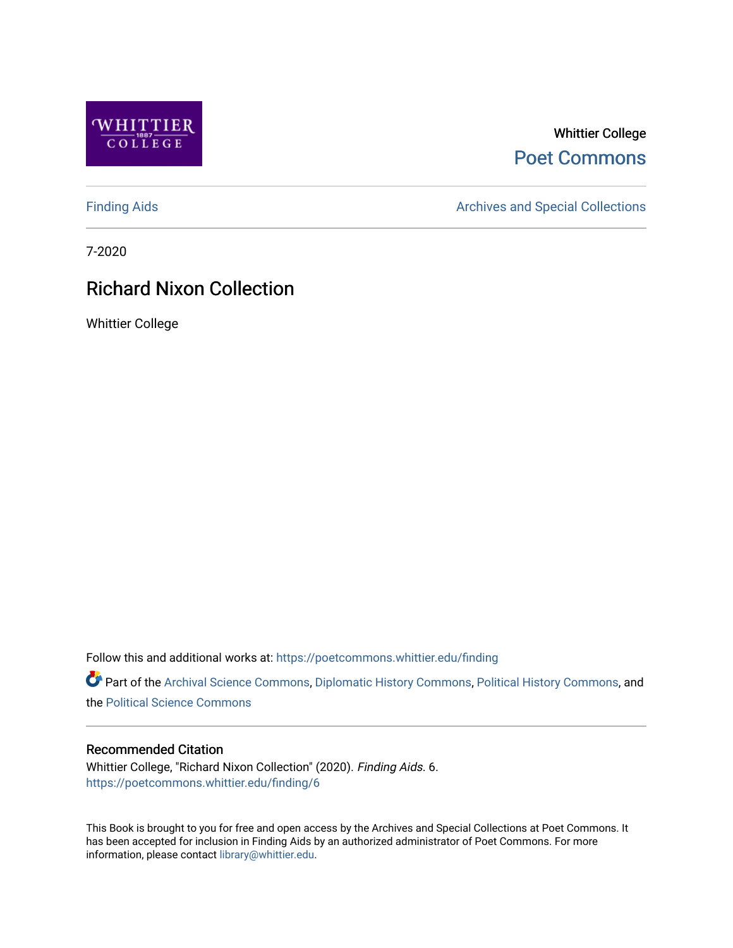

## Whittier College [Poet Commons](https://poetcommons.whittier.edu/)

[Finding Aids](https://poetcommons.whittier.edu/finding) **Archives and Special Collections** Archives and Special Collections

7-2020

# Richard Nixon Collection

Whittier College

Follow this and additional works at: [https://poetcommons.whittier.edu/finding](https://poetcommons.whittier.edu/finding?utm_source=poetcommons.whittier.edu%2Ffinding%2F6&utm_medium=PDF&utm_campaign=PDFCoverPages) 

Part of the [Archival Science Commons,](http://network.bepress.com/hgg/discipline/1021?utm_source=poetcommons.whittier.edu%2Ffinding%2F6&utm_medium=PDF&utm_campaign=PDFCoverPages) [Diplomatic History Commons](http://network.bepress.com/hgg/discipline/497?utm_source=poetcommons.whittier.edu%2Ffinding%2F6&utm_medium=PDF&utm_campaign=PDFCoverPages), [Political History Commons,](http://network.bepress.com/hgg/discipline/505?utm_source=poetcommons.whittier.edu%2Ffinding%2F6&utm_medium=PDF&utm_campaign=PDFCoverPages) and the [Political Science Commons](http://network.bepress.com/hgg/discipline/386?utm_source=poetcommons.whittier.edu%2Ffinding%2F6&utm_medium=PDF&utm_campaign=PDFCoverPages)

### Recommended Citation

Whittier College, "Richard Nixon Collection" (2020). Finding Aids. 6. [https://poetcommons.whittier.edu/finding/6](https://poetcommons.whittier.edu/finding/6?utm_source=poetcommons.whittier.edu%2Ffinding%2F6&utm_medium=PDF&utm_campaign=PDFCoverPages)

This Book is brought to you for free and open access by the Archives and Special Collections at Poet Commons. It has been accepted for inclusion in Finding Aids by an authorized administrator of Poet Commons. For more information, please contact [library@whittier.edu.](mailto:library@whittier.edu)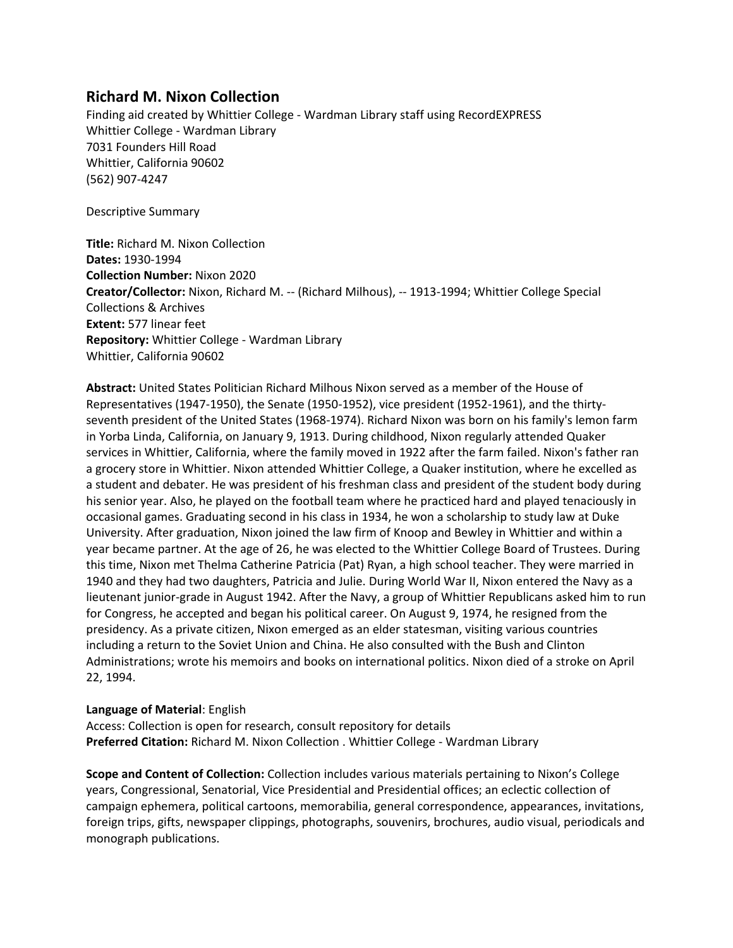## **Richard M. Nixon Collection**

Finding aid created by Whittier College - Wardman Library staff using RecordEXPRESS Whittier College - Wardman Library 7031 Founders Hill Road Whittier, California 90602 (562) 907-4247

Descriptive Summary

**Title:** Richard M. Nixon Collection **Dates:** 1930-1994 **Collection Number:** Nixon 2020 **Creator/Collector:** Nixon, Richard M. -- (Richard Milhous), -- 1913-1994; Whittier College Special Collections & Archives **Extent:** 577 linear feet **Repository:** Whittier College - Wardman Library Whittier, California 90602

**Abstract:** United States Politician Richard Milhous Nixon served as a member of the House of Representatives (1947-1950), the Senate (1950-1952), vice president (1952-1961), and the thirtyseventh president of the United States (1968-1974). Richard Nixon was born on his family's lemon farm in Yorba Linda, California, on January 9, 1913. During childhood, Nixon regularly attended Quaker services in Whittier, California, where the family moved in 1922 after the farm failed. Nixon's father ran a grocery store in Whittier. Nixon attended Whittier College, a Quaker institution, where he excelled as a student and debater. He was president of his freshman class and president of the student body during his senior year. Also, he played on the football team where he practiced hard and played tenaciously in occasional games. Graduating second in his class in 1934, he won a scholarship to study law at Duke University. After graduation, Nixon joined the law firm of Knoop and Bewley in Whittier and within a year became partner. At the age of 26, he was elected to the Whittier College Board of Trustees. During this time, Nixon met Thelma Catherine Patricia (Pat) Ryan, a high school teacher. They were married in 1940 and they had two daughters, Patricia and Julie. During World War II, Nixon entered the Navy as a lieutenant junior-grade in August 1942. After the Navy, a group of Whittier Republicans asked him to run for Congress, he accepted and began his political career. On August 9, 1974, he resigned from the presidency. As a private citizen, Nixon emerged as an elder statesman, visiting various countries including a return to the Soviet Union and China. He also consulted with the Bush and Clinton Administrations; wrote his memoirs and books on international politics. Nixon died of a stroke on April 22, 1994.

### **Language of Material**: English

Access: Collection is open for research, consult repository for details **Preferred Citation:** Richard M. Nixon Collection . Whittier College - Wardman Library

**Scope and Content of Collection:** Collection includes various materials pertaining to Nixon's College years, Congressional, Senatorial, Vice Presidential and Presidential offices; an eclectic collection of campaign ephemera, political cartoons, memorabilia, general correspondence, appearances, invitations, foreign trips, gifts, newspaper clippings, photographs, souvenirs, brochures, audio visual, periodicals and monograph publications.